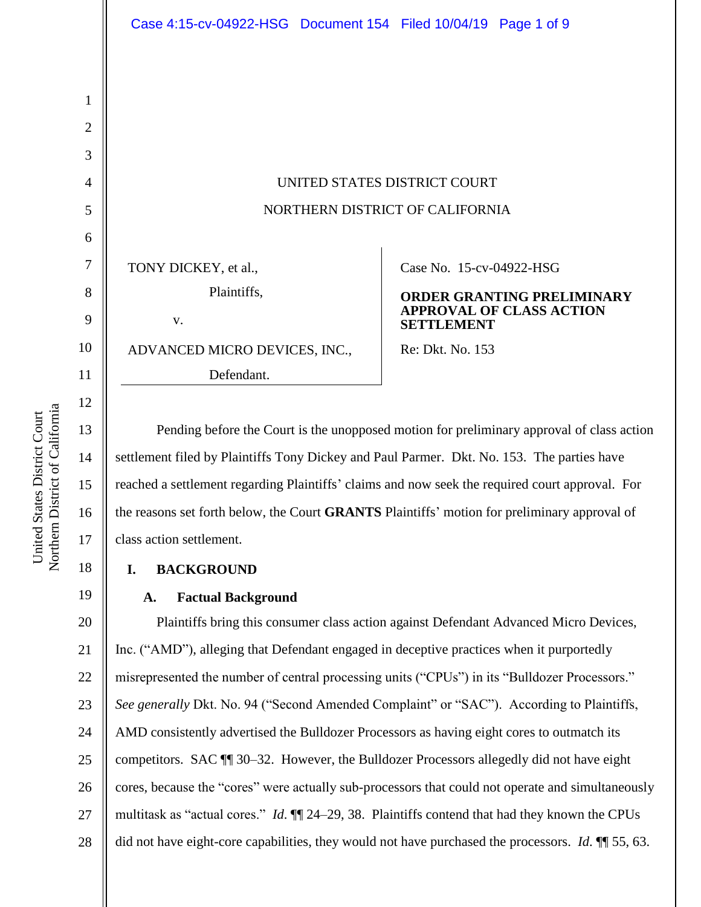# UNITED STATES DISTRICT COURT NORTHERN DISTRICT OF CALIFORNIA

TONY DICKEY, et al., Plaintiffs, v.

ADVANCED MICRO DEVICES, INC.,

Defendant.

Case No. 15-cv-04922-HSG

#### **ORDER GRANTING PRELIMINARY APPROVAL OF CLASS ACTION SETTLEMENT**

Re: Dkt. No. 153

Pending before the Court is the unopposed motion for preliminary approval of class action settlement filed by Plaintiffs Tony Dickey and Paul Parmer. Dkt. No. 153. The parties have reached a settlement regarding Plaintiffs' claims and now seek the required court approval. For the reasons set forth below, the Court **GRANTS** Plaintiffs' motion for preliminary approval of class action settlement.

## **I. BACKGROUND**

## **A. Factual Background**

20 21 22 23 24 25 26 27 28 Plaintiffs bring this consumer class action against Defendant Advanced Micro Devices, Inc. ("AMD"), alleging that Defendant engaged in deceptive practices when it purportedly misrepresented the number of central processing units ("CPUs") in its "Bulldozer Processors." *See generally* Dkt. No. 94 ("Second Amended Complaint" or "SAC"). According to Plaintiffs, AMD consistently advertised the Bulldozer Processors as having eight cores to outmatch its competitors. SAC ¶¶ 30–32. However, the Bulldozer Processors allegedly did not have eight cores, because the "cores" were actually sub-processors that could not operate and simultaneously multitask as "actual cores." *Id*. ¶¶ 24–29, 38. Plaintiffs contend that had they known the CPUs did not have eight-core capabilities, they would not have purchased the processors. *Id*. ¶¶ 55, 63.

1

2

3

4

5

6

7

8

9

10

11

12

13

14

15

16

17

18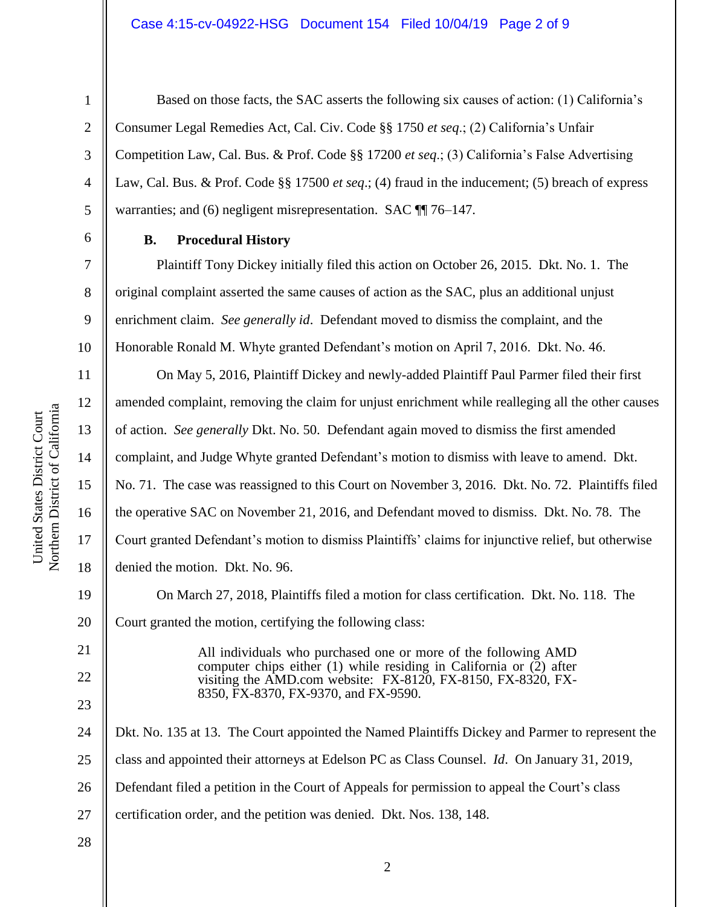1

2

3

4

5

6

7

8

9

10

11

12

13

14

15

United States District Court

United States District Court

16

17

18

19

20

21

22

23

Based on those facts, the SAC asserts the following six causes of action: (1) California's Consumer Legal Remedies Act, Cal. Civ. Code §§ 1750 *et seq*.; (2) California's Unfair Competition Law, Cal. Bus. & Prof. Code §§ 17200 *et seq*.; (3) California's False Advertising Law, Cal. Bus. & Prof. Code §§ 17500 *et seq*.; (4) fraud in the inducement; (5) breach of express warranties; and (6) negligent misrepresentation. SAC  $\P$  76–147.

## **B. Procedural History**

Plaintiff Tony Dickey initially filed this action on October 26, 2015. Dkt. No. 1. The original complaint asserted the same causes of action as the SAC, plus an additional unjust enrichment claim. *See generally id*. Defendant moved to dismiss the complaint, and the Honorable Ronald M. Whyte granted Defendant's motion on April 7, 2016. Dkt. No. 46.

On May 5, 2016, Plaintiff Dickey and newly-added Plaintiff Paul Parmer filed their first amended complaint, removing the claim for unjust enrichment while realleging all the other causes of action. *See generally* Dkt. No. 50. Defendant again moved to dismiss the first amended complaint, and Judge Whyte granted Defendant's motion to dismiss with leave to amend. Dkt. No. 71. The case was reassigned to this Court on November 3, 2016. Dkt. No. 72. Plaintiffs filed the operative SAC on November 21, 2016, and Defendant moved to dismiss. Dkt. No. 78. The Court granted Defendant's motion to dismiss Plaintiffs' claims for injunctive relief, but otherwise denied the motion. Dkt. No. 96.

On March 27, 2018, Plaintiffs filed a motion for class certification. Dkt. No. 118. The Court granted the motion, certifying the following class:

> All individuals who purchased one or more of the following AMD computer chips either  $(1)$  while residing in California or  $(2)$  after visiting the AMD.com website: FX-8120, FX-8150, FX-8320, FX-8350, FX-8370, FX-9370, and FX-9590.

24 25 26 27 Dkt. No. 135 at 13. The Court appointed the Named Plaintiffs Dickey and Parmer to represent the class and appointed their attorneys at Edelson PC as Class Counsel. *Id*. On January 31, 2019, Defendant filed a petition in the Court of Appeals for permission to appeal the Court's class certification order, and the petition was denied. Dkt. Nos. 138, 148.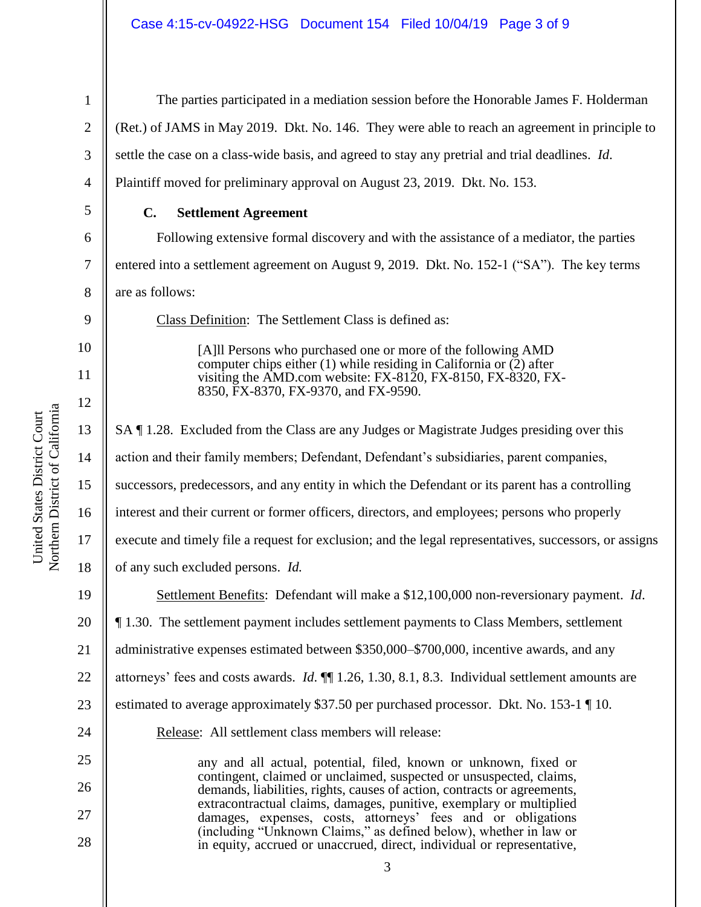4

5

6

7

8

9

10

11

12

27

28

1

The parties participated in a mediation session before the Honorable James F. Holderman (Ret.) of JAMS in May 2019. Dkt. No. 146. They were able to reach an agreement in principle to settle the case on a class-wide basis, and agreed to stay any pretrial and trial deadlines. *Id*. Plaintiff moved for preliminary approval on August 23, 2019. Dkt. No. 153.

## **C. Settlement Agreement**

Following extensive formal discovery and with the assistance of a mediator, the parties entered into a settlement agreement on August 9, 2019. Dkt. No. 152-1 ("SA"). The key terms are as follows:

Class Definition: The Settlement Class is defined as:

[A]ll Persons who purchased one or more of the following AMD computer chips either  $(1)$  while residing in California or  $(2)$  after visiting the AMD.com website: FX-8120, FX-8150, FX-8320, FX-8350, FX-8370, FX-9370, and FX-9590.

13 14 15 16 17 18 19 20 21 22 23 24 25 26 SA ¶ 1.28. Excluded from the Class are any Judges or Magistrate Judges presiding over this action and their family members; Defendant, Defendant's subsidiaries, parent companies, successors, predecessors, and any entity in which the Defendant or its parent has a controlling interest and their current or former officers, directors, and employees; persons who properly execute and timely file a request for exclusion; and the legal representatives, successors, or assigns of any such excluded persons. *Id.* Settlement Benefits: Defendant will make a \$12,100,000 non-reversionary payment. *Id*. ¶ 1.30. The settlement payment includes settlement payments to Class Members, settlement administrative expenses estimated between \$350,000–\$700,000, incentive awards, and any attorneys' fees and costs awards. *Id*. ¶¶ 1.26, 1.30, 8.1, 8.3. Individual settlement amounts are estimated to average approximately \$37.50 per purchased processor. Dkt. No. 153-1 ¶ 10. Release: All settlement class members will release: any and all actual, potential, filed, known or unknown, fixed or contingent, claimed or unclaimed, suspected or unsuspected, claims, demands, liabilities, rights, causes of action, contracts or agreements, extracontractual claims, damages, punitive, exemplary or multiplied

3

damages, expenses, costs, attorneys' fees and or obligations (including "Unknown Claims," as defined below), whether in law or in equity, accrued or unaccrued, direct, individual or representative,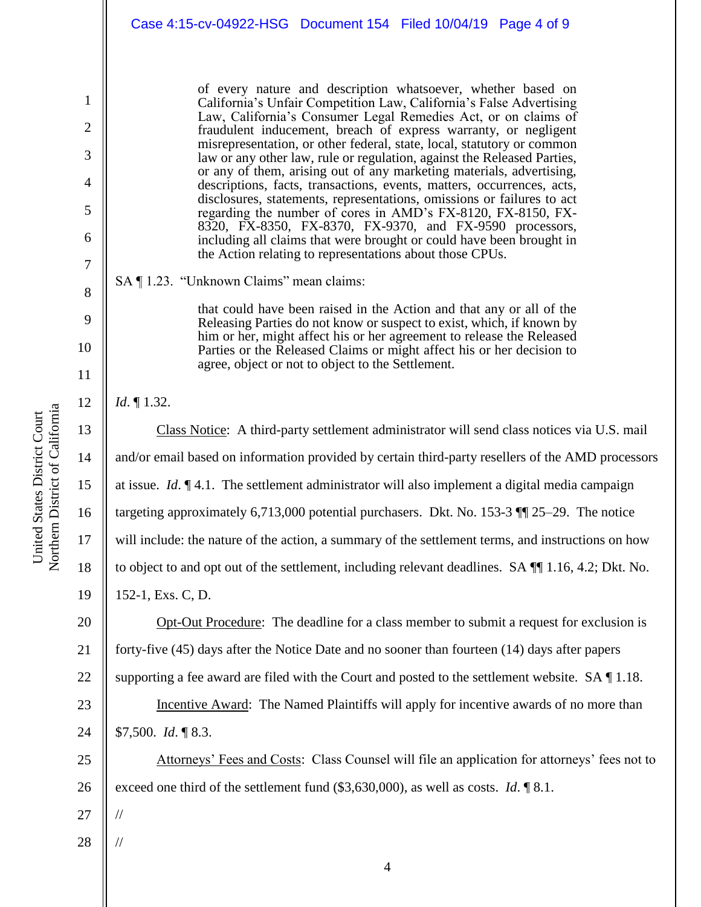of every nature and description whatsoever, whether based on California's Unfair Competition Law, California's False Advertising Law, California's Consumer Legal Remedies Act, or on claims of fraudulent inducement, breach of express warranty, or negligent misrepresentation, or other federal, state, local, statutory or common law or any other law, rule or regulation, against the Released Parties, or any of them, arising out of any marketing materials, advertising, descriptions, facts, transactions, events, matters, occurrences, acts, disclosures, statements, representations, omissions or failures to act regarding the number of cores in AMD's FX-8120, FX-8150, FX-8320, FX-8350, FX-8370, FX-9370, and FX-9590 processors, including all claims that were brought or could have been brought in the Action relating to representations about those CPUs.

SA ¶ 1.23. "Unknown Claims" mean claims:

that could have been raised in the Action and that any or all of the Releasing Parties do not know or suspect to exist, which, if known by him or her, might affect his or her agreement to release the Released Parties or the Released Claims or might affect his or her decision to agree, object or not to object to the Settlement.

*Id*. ¶ 1.32.

1

2

3

4

5

6

7

8

9

10

11

12

13

14

15

16

17

18

19

20

21

22

23

24

Class Notice: A third-party settlement administrator will send class notices via U.S. mail and/or email based on information provided by certain third-party resellers of the AMD processors at issue. *Id*. ¶ 4.1. The settlement administrator will also implement a digital media campaign targeting approximately 6,713,000 potential purchasers. Dkt. No. 153-3 ¶¶ 25–29. The notice will include: the nature of the action, a summary of the settlement terms, and instructions on how to object to and opt out of the settlement, including relevant deadlines. SA ¶¶ 1.16, 4.2; Dkt. No. 152-1, Exs. C, D.

Opt-Out Procedure: The deadline for a class member to submit a request for exclusion is forty-five (45) days after the Notice Date and no sooner than fourteen (14) days after papers supporting a fee award are filed with the Court and posted to the settlement website. SA ¶ 1.18.

Incentive Award: The Named Plaintiffs will apply for incentive awards of no more than \$7,500. *Id*. ¶ 8.3.

25 26 Attorneys' Fees and Costs: Class Counsel will file an application for attorneys' fees not to exceed one third of the settlement fund (\$3,630,000), as well as costs. *Id*. ¶ 8.1.

27

//

//

28

Northern District of California Northern District of California United States District Court United States District Court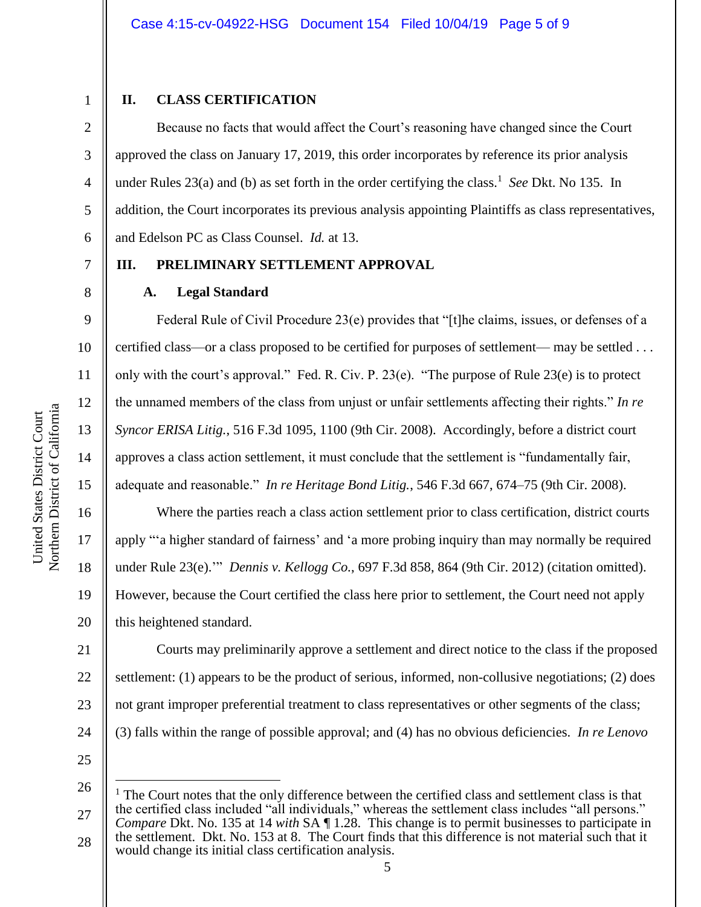#### **II. CLASS CERTIFICATION**

Because no facts that would affect the Court's reasoning have changed since the Court approved the class on January 17, 2019, this order incorporates by reference its prior analysis under Rules 23(a) and (b) as set forth in the order certifying the class. 1 *See* Dkt. No 135. In addition, the Court incorporates its previous analysis appointing Plaintiffs as class representatives, and Edelson PC as Class Counsel. *Id.* at 13.

## **III. PRELIMINARY SETTLEMENT APPROVAL**

#### **A. Legal Standard**

Federal Rule of Civil Procedure 23(e) provides that "[t]he claims, issues, or defenses of a certified class—or a class proposed to be certified for purposes of settlement— may be settled . . . only with the court's approval." Fed. R. Civ. P. 23(e). "The purpose of Rule 23(e) is to protect the unnamed members of the class from unjust or unfair settlements affecting their rights." *In re Syncor ERISA Litig.*, 516 F.3d 1095, 1100 (9th Cir. 2008). Accordingly, before a district court approves a class action settlement, it must conclude that the settlement is "fundamentally fair, adequate and reasonable." *In re Heritage Bond Litig.*, 546 F.3d 667, 674–75 (9th Cir. 2008).

Where the parties reach a class action settlement prior to class certification, district courts apply "'a higher standard of fairness' and 'a more probing inquiry than may normally be required under Rule 23(e).'" *Dennis v. Kellogg Co.*, 697 F.3d 858, 864 (9th Cir. 2012) (citation omitted). However, because the Court certified the class here prior to settlement, the Court need not apply this heightened standard.

21 22 23 24 Courts may preliminarily approve a settlement and direct notice to the class if the proposed settlement: (1) appears to be the product of serious, informed, non-collusive negotiations; (2) does not grant improper preferential treatment to class representatives or other segments of the class; (3) falls within the range of possible approval; and (4) has no obvious deficiencies. *In re Lenovo* 

25

 $\overline{a}$ 

1

2

3

4

5

6

7

8

9

10

11

12

13

14

15

16

17

18

19

<sup>26</sup> 27 28  $1$  The Court notes that the only difference between the certified class and settlement class is that the certified class included "all individuals," whereas the settlement class includes "all persons." *Compare Dkt. No.* 135 at 14 *with SA*  $\P$  1.28. This change is to permit businesses to participate in the settlement. Dkt. No. 153 at 8. The Court finds that this difference is not material such that it would change its initial class certification analysis.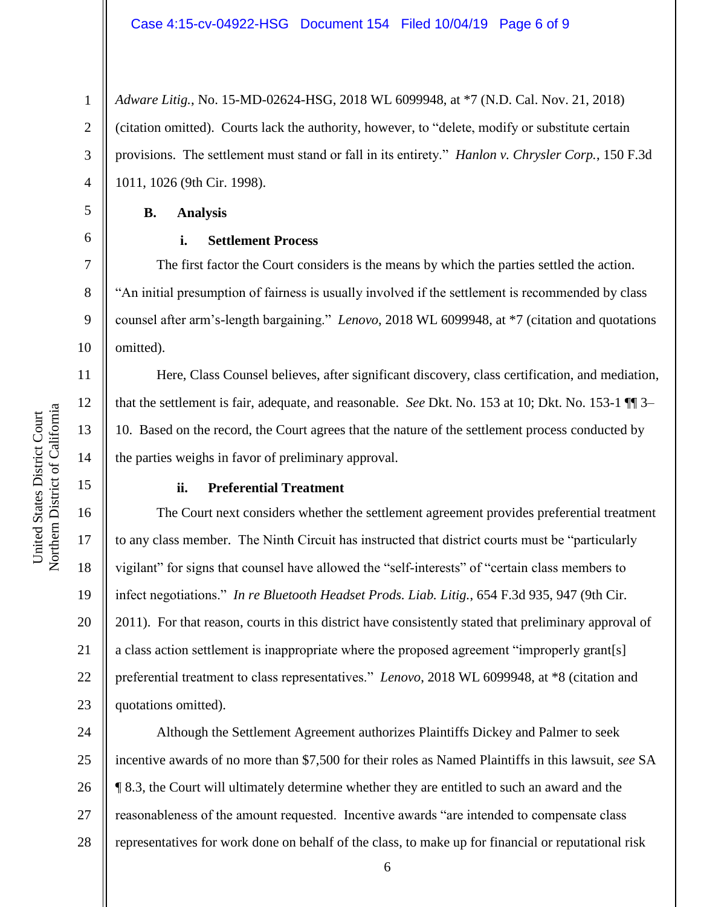1 2 3 4 *Adware Litig.*, No. 15-MD-02624-HSG, 2018 WL 6099948, at \*7 (N.D. Cal. Nov. 21, 2018) (citation omitted). Courts lack the authority, however, to "delete, modify or substitute certain provisions. The settlement must stand or fall in its entirety." *Hanlon v. Chrysler Corp.*, 150 F.3d 1011, 1026 (9th Cir. 1998).

**B. Analysis**

5

6

7

8

9

10

11

12

13

14

15

16

17

18

19

20

21

22

23

#### **i. Settlement Process**

The first factor the Court considers is the means by which the parties settled the action. "An initial presumption of fairness is usually involved if the settlement is recommended by class counsel after arm's-length bargaining." *Lenovo*, 2018 WL 6099948, at \*7 (citation and quotations omitted).

Here, Class Counsel believes, after significant discovery, class certification, and mediation, that the settlement is fair, adequate, and reasonable. *See* Dkt. No. 153 at 10; Dkt. No. 153-1 ¶¶ 3– 10. Based on the record, the Court agrees that the nature of the settlement process conducted by the parties weighs in favor of preliminary approval.

## **ii. Preferential Treatment**

The Court next considers whether the settlement agreement provides preferential treatment to any class member. The Ninth Circuit has instructed that district courts must be "particularly vigilant" for signs that counsel have allowed the "self-interests" of "certain class members to infect negotiations." *In re Bluetooth Headset Prods. Liab. Litig.*, 654 F.3d 935, 947 (9th Cir. 2011). For that reason, courts in this district have consistently stated that preliminary approval of a class action settlement is inappropriate where the proposed agreement "improperly grant[s] preferential treatment to class representatives." *Lenovo*, 2018 WL 6099948, at \*8 (citation and quotations omitted).

24 25 26 27 28 Although the Settlement Agreement authorizes Plaintiffs Dickey and Palmer to seek incentive awards of no more than \$7,500 for their roles as Named Plaintiffs in this lawsuit, *see* SA ¶ 8.3, the Court will ultimately determine whether they are entitled to such an award and the reasonableness of the amount requested. Incentive awards "are intended to compensate class representatives for work done on behalf of the class, to make up for financial or reputational risk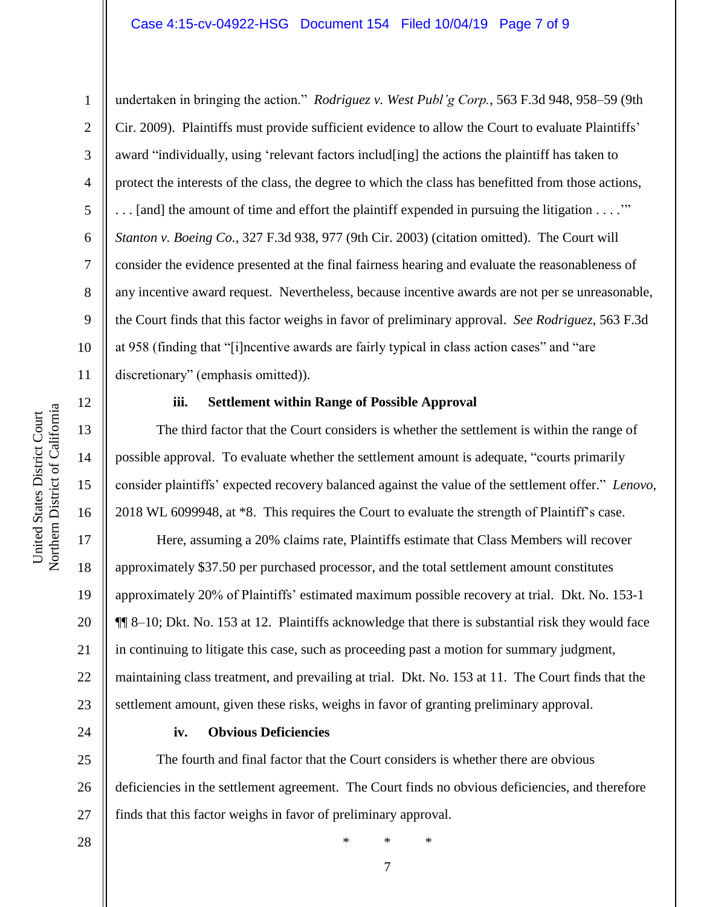#### Case 4:15-cv-04922-HSG Document 154 Filed 10/04/19 Page 7 of 9

undertaken in bringing the action." *Rodriguez v. West Publ'g Corp.*, 563 F.3d 948, 958–59 (9th Cir. 2009). Plaintiffs must provide sufficient evidence to allow the Court to evaluate Plaintiffs' award "individually, using 'relevant factors includ[ing] the actions the plaintiff has taken to protect the interests of the class, the degree to which the class has benefitted from those actions, . . . [and] the amount of time and effort the plaintiff expended in pursuing the litigation . . . .'" *Stanton v. Boeing Co.*, 327 F.3d 938, 977 (9th Cir. 2003) (citation omitted). The Court will consider the evidence presented at the final fairness hearing and evaluate the reasonableness of any incentive award request. Nevertheless, because incentive awards are not per se unreasonable, the Court finds that this factor weighs in favor of preliminary approval. *See Rodriguez*, 563 F.3d at 958 (finding that "[i]ncentive awards are fairly typical in class action cases" and "are discretionary" (emphasis omitted)).

#### **iii. Settlement within Range of Possible Approval**

The third factor that the Court considers is whether the settlement is within the range of possible approval. To evaluate whether the settlement amount is adequate, "courts primarily consider plaintiffs' expected recovery balanced against the value of the settlement offer." *Lenovo*, 2018 WL 6099948, at \*8. This requires the Court to evaluate the strength of Plaintiff's case.

Here, assuming a 20% claims rate, Plaintiffs estimate that Class Members will recover approximately \$37.50 per purchased processor, and the total settlement amount constitutes approximately 20% of Plaintiffs' estimated maximum possible recovery at trial. Dkt. No. 153-1 ¶¶ 8–10; Dkt. No. 153 at 12. Plaintiffs acknowledge that there is substantial risk they would face in continuing to litigate this case, such as proceeding past a motion for summary judgment, maintaining class treatment, and prevailing at trial. Dkt. No. 153 at 11. The Court finds that the settlement amount, given these risks, weighs in favor of granting preliminary approval.

24

## **iv. Obvious Deficiencies**

25 26 27 The fourth and final factor that the Court considers is whether there are obvious deficiencies in the settlement agreement. The Court finds no obvious deficiencies, and therefore finds that this factor weighs in favor of preliminary approval.

28

Northern District of California Northern District of California United States District Court United States District Court

1

2

3

4

5

6

7

8

9

10

11

12

13

14

15

16

17

18

19

20

21

22

23

\* \* \*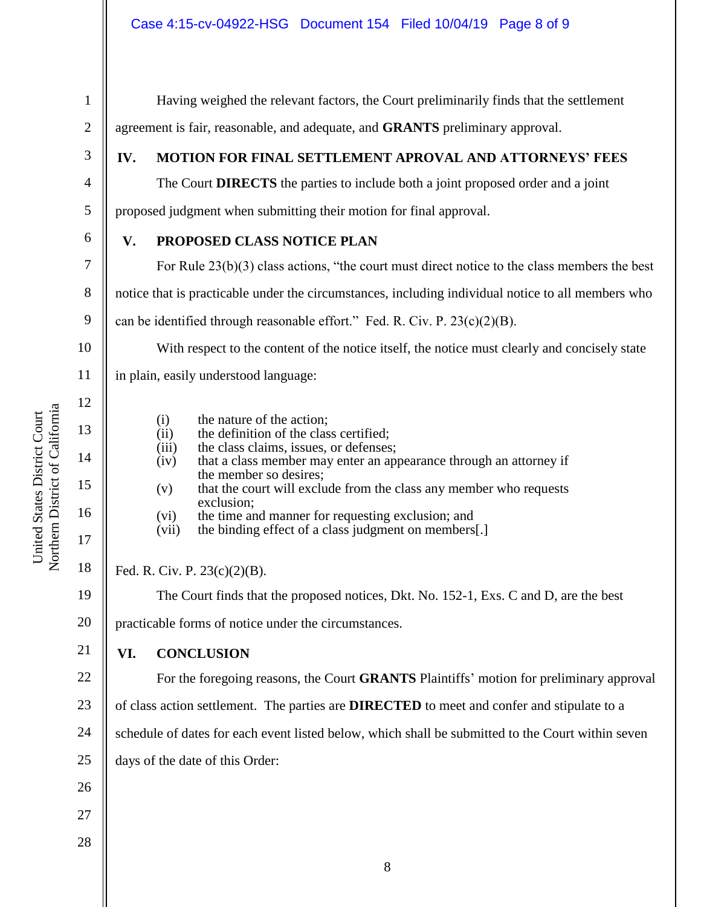Having weighed the relevant factors, the Court preliminarily finds that the settlement

| $\overline{2}$ | agreement is fair, reasonable, and adequate, and <b>GRANTS</b> preliminary approval. |                                                                                                                               |  |  |
|----------------|--------------------------------------------------------------------------------------|-------------------------------------------------------------------------------------------------------------------------------|--|--|
| 3              | IV.                                                                                  | <b>MOTION FOR FINAL SETTLEMENT APROVAL AND ATTORNEYS' FEES</b>                                                                |  |  |
| 4              |                                                                                      | The Court DIRECTS the parties to include both a joint proposed order and a joint                                              |  |  |
| 5              |                                                                                      | proposed judgment when submitting their motion for final approval.                                                            |  |  |
| 6              | V.                                                                                   | PROPOSED CLASS NOTICE PLAN                                                                                                    |  |  |
| 7              |                                                                                      | For Rule $23(b)(3)$ class actions, "the court must direct notice to the class members the best                                |  |  |
| 8              |                                                                                      | notice that is practicable under the circumstances, including individual notice to all members who                            |  |  |
| 9              |                                                                                      | can be identified through reasonable effort." Fed. R. Civ. P. $23(c)(2)(B)$ .                                                 |  |  |
| 10             |                                                                                      | With respect to the content of the notice itself, the notice must clearly and concisely state                                 |  |  |
| 11             |                                                                                      | in plain, easily understood language:                                                                                         |  |  |
| 12             |                                                                                      |                                                                                                                               |  |  |
| 13             |                                                                                      | the nature of the action;<br>(i)<br>the definition of the class certified;<br>(ii)                                            |  |  |
| 14             |                                                                                      | the class claims, issues, or defenses;<br>(iii)<br>that a class member may enter an appearance through an attorney if<br>(iv) |  |  |
| 15             |                                                                                      | the member so desires;<br>that the court will exclude from the class any member who requests<br>(v)                           |  |  |
| 16             |                                                                                      | exclusion;<br>the time and manner for requesting exclusion; and<br>(vi)                                                       |  |  |
| 17             |                                                                                      | the binding effect of a class judgment on members[.]<br>(vii)                                                                 |  |  |
| 18             | Fed. R. Civ. P. $23(c)(2)(B)$ .                                                      |                                                                                                                               |  |  |
| 19             |                                                                                      | The Court finds that the proposed notices, Dkt. No. 152-1, Exs. C and D, are the best                                         |  |  |
| 20             | practicable forms of notice under the circumstances.                                 |                                                                                                                               |  |  |
| 21             | VI.                                                                                  | <b>CONCLUSION</b>                                                                                                             |  |  |
| 22             |                                                                                      | For the foregoing reasons, the Court GRANTS Plaintiffs' motion for preliminary approval                                       |  |  |
| 23             |                                                                                      | of class action settlement. The parties are <b>DIRECTED</b> to meet and confer and stipulate to a                             |  |  |
| 24             |                                                                                      | schedule of dates for each event listed below, which shall be submitted to the Court within seven                             |  |  |
| 25             |                                                                                      | days of the date of this Order:                                                                                               |  |  |
| 26             |                                                                                      |                                                                                                                               |  |  |
| 27             |                                                                                      |                                                                                                                               |  |  |
| 28             |                                                                                      |                                                                                                                               |  |  |